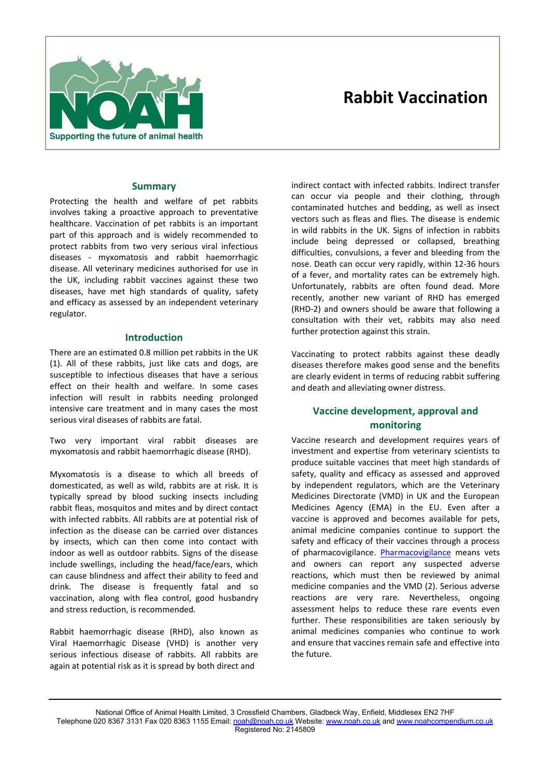

# **Rabbit Vaccination**

# **Summary**

Protecting the health and welfare of pet rabbits involves taking a proactive approach to preventative healthcare. Vaccination of pet rabbits is an important part of this approach and is widely recommended to protect rabbits from two very serious viral infectious diseases - myxomatosis and rabbit haemorrhagic disease. All veterinary medicines authorised for use in the UK, including rabbit vaccines against these two diseases, have met high standards of quality, safety and efficacy as assessed by an independent veterinary regulator.

### **Introduction**

There are an estimated 0.8 million pet rabbits in the UK (1). All of these rabbits, just like cats and dogs, are susceptible to infectious diseases that have a serious effect on their health and welfare. In some cases infection will result in rabbits needing prolonged intensive care treatment and in many cases the most serious viral diseases of rabbits are fatal.

Two very important viral rabbit diseases are myxomatosis and rabbit haemorrhagic disease (RHD).

Myxomatosis is a disease to which all breeds of domesticated, as well as wild, rabbits are at risk. It is typically spread by blood sucking insects including rabbit fleas, mosquitos and mites and by direct contact with infected rabbits. All rabbits are at potential risk of infection as the disease can be carried over distances by insects, which can then come into contact with indoor as well as outdoor rabbits. Signs of the disease include swellings, including the head/face/ears, which can cause blindness and affect their ability to feed and drink. The disease is frequently fatal and so vaccination, along with flea control, good husbandry and stress reduction, is recommended.

Rabbit haemorrhagic disease (RHD), also known as Viral Haemorrhagic Disease (VHD) is another very serious infectious disease of rabbits. All rabbits are again at potential risk as it is spread by both direct and

indirect contact with infected rabbits. Indirect transfer can occur via people and their clothing, through contaminated hutches and bedding, as well as insect vectors such as fleas and flies. The disease is endemic in wild rabbits in the UK. Signs of infection in rabbits include being depressed or collapsed, breathing difficulties, convulsions, a fever and bleeding from the nose. Death can occur very rapidly, within 12-36 hours of a fever, and mortality rates can be extremely high. Unfortunately, rabbits are often found dead. More recently, another new variant of RHD has emerged (RHD-2) and owners should be aware that following a consultation with their vet, rabbits may also need further protection against this strain.

Vaccinating to protect rabbits against these deadly diseases therefore makes good sense and the benefits are clearly evident in terms of reducing rabbit suffering and death and alleviating owner distress.

# **Vaccine development, approval and monitoring**

Vaccine research and development requires years of investment and expertise from veterinary scientists to produce suitable vaccines that meet high standards of safety, quality and efficacy as assessed and approved by independent regulators, which are the Veterinary Medicines Directorate (VMD) in UK and the European Medicines Agency (EMA) in the EU. Even after a vaccine is approved and becomes available for pets, animal medicine companies continue to support the safety and efficacy of their vaccines through a process of pharmacovigilance. Pharmacovigilance means vets and owners can report any suspected adverse reactions, which must then be reviewed by animal medicine companies and the VMD (2). Serious adverse reactions are very rare. Nevertheless, ongoing assessment helps to reduce these rare events even further. These responsibilities are taken seriously by animal medicines companies who continue to work and ensure that vaccines remain safe and effective into the future.